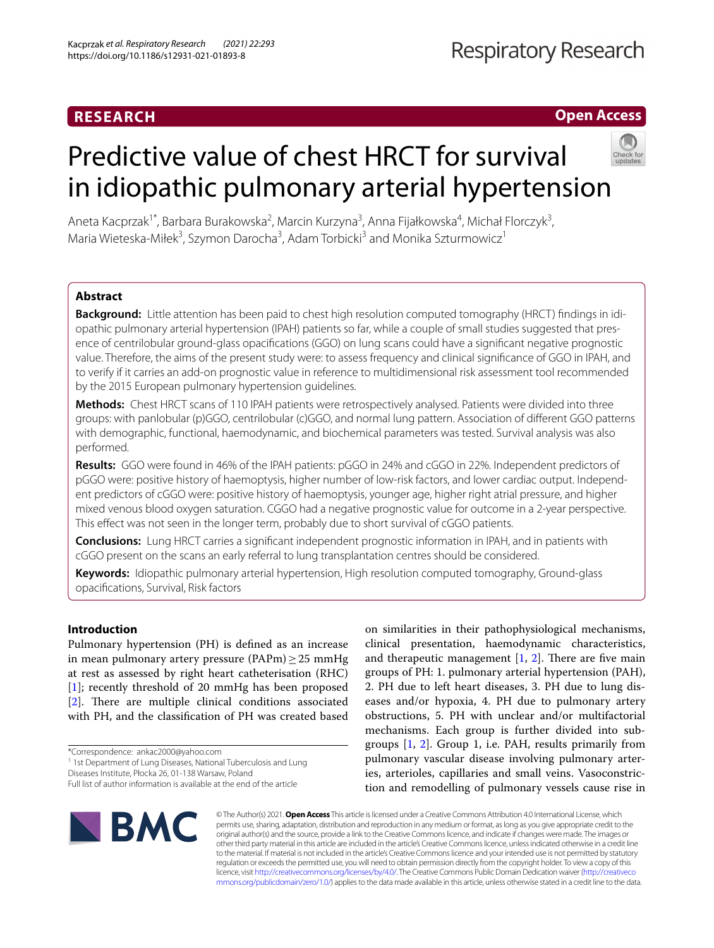# **Open Access**

# Predictive value of chest HRCT for survival in idiopathic pulmonary arterial hypertension



Aneta Kacprzak<sup>1\*</sup>, Barbara Burakowska<sup>2</sup>, Marcin Kurzyna<sup>3</sup>, Anna Fijałkowska<sup>4</sup>, Michał Florczyk<sup>3</sup>, Maria Wieteska-Miłek<sup>3</sup>, Szymon Darocha<sup>3</sup>, Adam Torbicki<sup>3</sup> and Monika Szturmowicz<sup>1</sup>

# **Abstract**

**Background:** Little attention has been paid to chest high resolution computed tomography (HRCT) fndings in idi‑ opathic pulmonary arterial hypertension (IPAH) patients so far, while a couple of small studies suggested that presence of centrilobular ground-glass opacifcations (GGO) on lung scans could have a signifcant negative prognostic value. Therefore, the aims of the present study were: to assess frequency and clinical signifcance of GGO in IPAH, and to verify if it carries an add-on prognostic value in reference to multidimensional risk assessment tool recommended by the 2015 European pulmonary hypertension guidelines.

**Methods:** Chest HRCT scans of 110 IPAH patients were retrospectively analysed. Patients were divided into three groups: with panlobular (p)GGO, centrilobular (c)GGO, and normal lung pattern. Association of diferent GGO patterns with demographic, functional, haemodynamic, and biochemical parameters was tested. Survival analysis was also performed.

**Results:** GGO were found in 46% of the IPAH patients: pGGO in 24% and cGGO in 22%. Independent predictors of pGGO were: positive history of haemoptysis, higher number of low-risk factors, and lower cardiac output. Independ‑ ent predictors of cGGO were: positive history of haemoptysis, younger age, higher right atrial pressure, and higher mixed venous blood oxygen saturation. CGGO had a negative prognostic value for outcome in a 2-year perspective. This efect was not seen in the longer term, probably due to short survival of cGGO patients.

**Conclusions:** Lung HRCT carries a signifcant independent prognostic information in IPAH, and in patients with cGGO present on the scans an early referral to lung transplantation centres should be considered.

**Keywords:** Idiopathic pulmonary arterial hypertension, High resolution computed tomography, Ground-glass opacifcations, Survival, Risk factors

# **Introduction**

Pulmonary hypertension (PH) is defned as an increase in mean pulmonary artery pressure (PAPm) $\geq$ 25 mmHg at rest as assessed by right heart catheterisation (RHC) [[1\]](#page-9-0); recently threshold of 20 mmHg has been proposed [[2\]](#page-9-1). There are multiple clinical conditions associated with PH, and the classifcation of PH was created based

\*Correspondence: ankac2000@yahoo.com

<sup>1</sup> 1st Department of Lung Diseases, National Tuberculosis and Lung

on similarities in their pathophysiological mechanisms, clinical presentation, haemodynamic characteristics, and therapeutic management  $[1, 2]$  $[1, 2]$  $[1, 2]$  $[1, 2]$  $[1, 2]$ . There are five main groups of PH: 1. pulmonary arterial hypertension (PAH), 2. PH due to left heart diseases, 3. PH due to lung diseases and/or hypoxia, 4. PH due to pulmonary artery obstructions, 5. PH with unclear and/or multifactorial mechanisms. Each group is further divided into subgroups [[1,](#page-9-0) [2](#page-9-1)]. Group 1, i.e. PAH, results primarily from pulmonary vascular disease involving pulmonary arteries, arterioles, capillaries and small veins. Vasoconstriction and remodelling of pulmonary vessels cause rise in



© The Author(s) 2021. **Open Access** This article is licensed under a Creative Commons Attribution 4.0 International License, which permits use, sharing, adaptation, distribution and reproduction in any medium or format, as long as you give appropriate credit to the original author(s) and the source, provide a link to the Creative Commons licence, and indicate if changes were made. The images or other third party material in this article are included in the article's Creative Commons licence, unless indicated otherwise in a credit line to the material. If material is not included in the article's Creative Commons licence and your intended use is not permitted by statutory regulation or exceeds the permitted use, you will need to obtain permission directly from the copyright holder. To view a copy of this licence, visit [http://creativecommons.org/licenses/by/4.0/.](http://creativecommons.org/licenses/by/4.0/) The Creative Commons Public Domain Dedication waiver ([http://creativeco](http://creativecommons.org/publicdomain/zero/1.0/) [mmons.org/publicdomain/zero/1.0/](http://creativecommons.org/publicdomain/zero/1.0/)) applies to the data made available in this article, unless otherwise stated in a credit line to the data.

Diseases Institute, Płocka 26, 01‑138 Warsaw, Poland

Full list of author information is available at the end of the article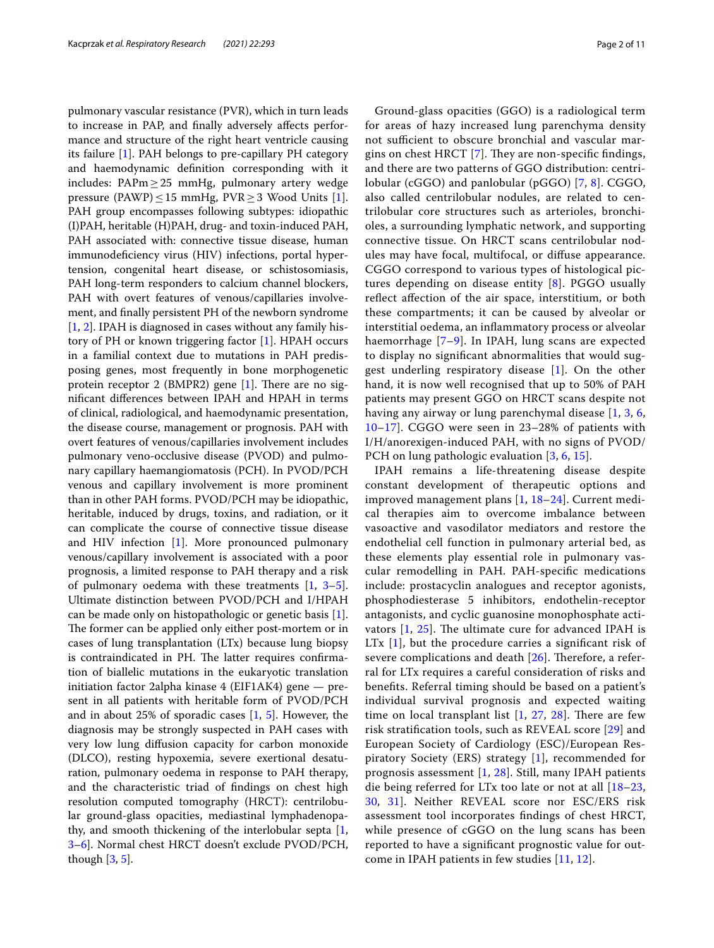pulmonary vascular resistance (PVR), which in turn leads to increase in PAP, and fnally adversely afects performance and structure of the right heart ventricle causing its failure [\[1\]](#page-9-0). PAH belongs to pre-capillary PH category and haemodynamic defnition corresponding with it includes: PAPm≥25 mmHg, pulmonary artery wedge pressure (PAWP) ≤ 15 mmHg, PVR ≥ 3 Wood Units [\[1](#page-9-0)]. PAH group encompasses following subtypes: idiopathic (I)PAH, heritable (H)PAH, drug- and toxin-induced PAH, PAH associated with: connective tissue disease, human immunodefciency virus (HIV) infections, portal hypertension, congenital heart disease, or schistosomiasis, PAH long-term responders to calcium channel blockers, PAH with overt features of venous/capillaries involvement, and fnally persistent PH of the newborn syndrome [[1,](#page-9-0) [2\]](#page-9-1). IPAH is diagnosed in cases without any family history of PH or known triggering factor [\[1](#page-9-0)]. HPAH occurs in a familial context due to mutations in PAH predisposing genes, most frequently in bone morphogenetic protein receptor 2 (BMPR2) gene  $[1]$  $[1]$ . There are no signifcant diferences between IPAH and HPAH in terms of clinical, radiological, and haemodynamic presentation, the disease course, management or prognosis. PAH with overt features of venous/capillaries involvement includes pulmonary veno-occlusive disease (PVOD) and pulmonary capillary haemangiomatosis (PCH). In PVOD/PCH venous and capillary involvement is more prominent than in other PAH forms. PVOD/PCH may be idiopathic, heritable, induced by drugs, toxins, and radiation, or it can complicate the course of connective tissue disease and HIV infection [\[1](#page-9-0)]. More pronounced pulmonary venous/capillary involvement is associated with a poor prognosis, a limited response to PAH therapy and a risk of pulmonary oedema with these treatments  $[1, 3-5]$  $[1, 3-5]$  $[1, 3-5]$  $[1, 3-5]$ . Ultimate distinction between PVOD/PCH and I/HPAH can be made only on histopathologic or genetic basis [\[1](#page-9-0)]. The former can be applied only either post-mortem or in cases of lung transplantation (LTx) because lung biopsy is contraindicated in PH. The latter requires confirmation of biallelic mutations in the eukaryotic translation initiation factor 2alpha kinase 4 (EIF1AK4) gene — present in all patients with heritable form of PVOD/PCH and in about 25% of sporadic cases [\[1](#page-9-0), [5\]](#page-9-3). However, the diagnosis may be strongly suspected in PAH cases with very low lung difusion capacity for carbon monoxide (DLCO), resting hypoxemia, severe exertional desaturation, pulmonary oedema in response to PAH therapy, and the characteristic triad of fndings on chest high resolution computed tomography (HRCT): centrilobular ground-glass opacities, mediastinal lymphadenopathy, and smooth thickening of the interlobular septa [\[1](#page-9-0), [3–](#page-9-2)[6](#page-10-0)]. Normal chest HRCT doesn't exclude PVOD/PCH, though [\[3](#page-9-2), [5\]](#page-9-3).

Ground-glass opacities (GGO) is a radiological term for areas of hazy increased lung parenchyma density not sufficient to obscure bronchial and vascular margins on chest HRCT  $[7]$  $[7]$  $[7]$ . They are non-specific findings, and there are two patterns of GGO distribution: centrilobular (cGGO) and panlobular (pGGO) [[7,](#page-10-1) [8](#page-10-2)]. CGGO, also called centrilobular nodules, are related to centrilobular core structures such as arterioles, bronchioles, a surrounding lymphatic network, and supporting connective tissue. On HRCT scans centrilobular nodules may have focal, multifocal, or difuse appearance. CGGO correspond to various types of histological pictures depending on disease entity [[8\]](#page-10-2). PGGO usually refect afection of the air space, interstitium, or both these compartments; it can be caused by alveolar or interstitial oedema, an infammatory process or alveolar haemorrhage [[7–](#page-10-1)[9\]](#page-10-3). In IPAH, lung scans are expected to display no signifcant abnormalities that would suggest underling respiratory disease [[1](#page-9-0)]. On the other hand, it is now well recognised that up to 50% of PAH patients may present GGO on HRCT scans despite not having any airway or lung parenchymal disease [[1,](#page-9-0) [3](#page-9-2), [6](#page-10-0), [10–](#page-10-4)[17](#page-10-5)]. CGGO were seen in 23–28% of patients with I/H/anorexigen-induced PAH, with no signs of PVOD/ PCH on lung pathologic evaluation [[3,](#page-9-2) [6,](#page-10-0) [15\]](#page-10-6).

IPAH remains a life-threatening disease despite constant development of therapeutic options and improved management plans [[1](#page-9-0), [18](#page-10-7)[–24](#page-10-8)]. Current medical therapies aim to overcome imbalance between vasoactive and vasodilator mediators and restore the endothelial cell function in pulmonary arterial bed, as these elements play essential role in pulmonary vascular remodelling in PAH. PAH-specifc medications include: prostacyclin analogues and receptor agonists, phosphodiesterase 5 inhibitors, endothelin-receptor antagonists, and cyclic guanosine monophosphate activators  $[1, 25]$  $[1, 25]$  $[1, 25]$  $[1, 25]$ . The ultimate cure for advanced IPAH is LTx [[1\]](#page-9-0), but the procedure carries a signifcant risk of severe complications and death  $[26]$  $[26]$ . Therefore, a referral for LTx requires a careful consideration of risks and benefts. Referral timing should be based on a patient's individual survival prognosis and expected waiting time on local transplant list  $[1, 27, 28]$  $[1, 27, 28]$  $[1, 27, 28]$  $[1, 27, 28]$  $[1, 27, 28]$  $[1, 27, 28]$ . There are few risk stratifcation tools, such as REVEAL score [[29](#page-10-13)] and European Society of Cardiology (ESC)/European Respiratory Society (ERS) strategy [[1\]](#page-9-0), recommended for prognosis assessment [[1](#page-9-0), [28](#page-10-12)]. Still, many IPAH patients die being referred for LTx too late or not at all [[18](#page-10-7)[–23](#page-10-14), [30,](#page-10-15) [31\]](#page-10-16). Neither REVEAL score nor ESC/ERS risk assessment tool incorporates fndings of chest HRCT, while presence of cGGO on the lung scans has been reported to have a signifcant prognostic value for outcome in IPAH patients in few studies [[11](#page-10-17), [12](#page-10-18)].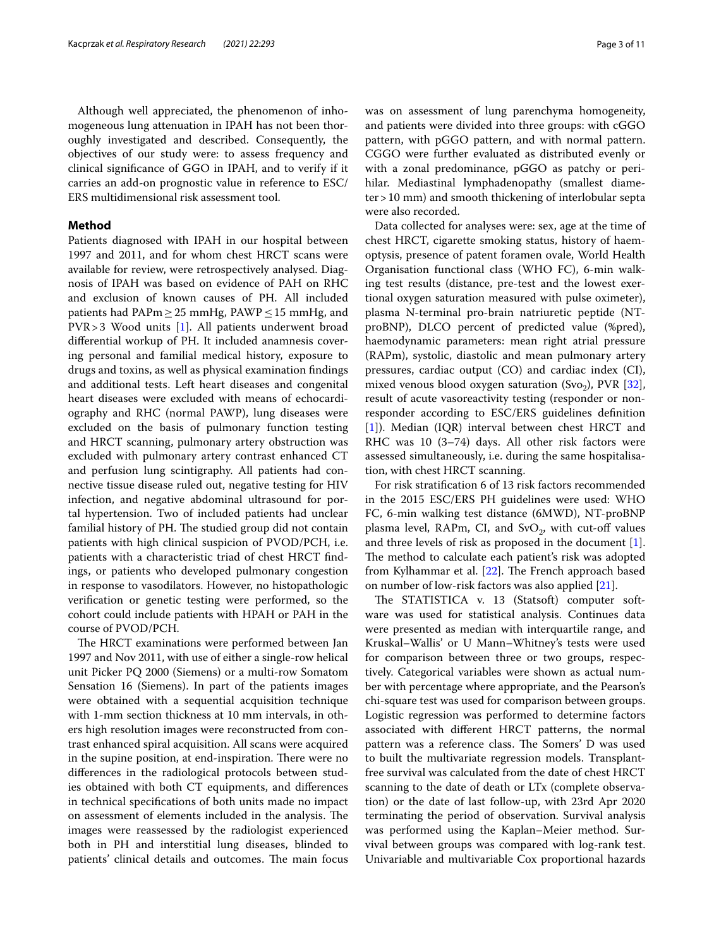Although well appreciated, the phenomenon of inhomogeneous lung attenuation in IPAH has not been thoroughly investigated and described. Consequently, the objectives of our study were: to assess frequency and clinical signifcance of GGO in IPAH, and to verify if it carries an add-on prognostic value in reference to ESC/

# **Method**

Patients diagnosed with IPAH in our hospital between 1997 and 2011, and for whom chest HRCT scans were available for review, were retrospectively analysed. Diagnosis of IPAH was based on evidence of PAH on RHC and exclusion of known causes of PH. All included patients had PAPm ≥ 25 mmHg, PAWP ≤ 15 mmHg, and PVR>3 Wood units [[1\]](#page-9-0). All patients underwent broad diferential workup of PH. It included anamnesis covering personal and familial medical history, exposure to drugs and toxins, as well as physical examination fndings and additional tests. Left heart diseases and congenital heart diseases were excluded with means of echocardiography and RHC (normal PAWP), lung diseases were excluded on the basis of pulmonary function testing and HRCT scanning, pulmonary artery obstruction was excluded with pulmonary artery contrast enhanced CT and perfusion lung scintigraphy. All patients had connective tissue disease ruled out, negative testing for HIV infection, and negative abdominal ultrasound for portal hypertension. Two of included patients had unclear familial history of PH. The studied group did not contain patients with high clinical suspicion of PVOD/PCH, i.e. patients with a characteristic triad of chest HRCT fndings, or patients who developed pulmonary congestion in response to vasodilators. However, no histopathologic verifcation or genetic testing were performed, so the cohort could include patients with HPAH or PAH in the course of PVOD/PCH.

The HRCT examinations were performed between Jan 1997 and Nov 2011, with use of either a single-row helical unit Picker PQ 2000 (Siemens) or a multi-row Somatom Sensation 16 (Siemens). In part of the patients images were obtained with a sequential acquisition technique with 1-mm section thickness at 10 mm intervals, in others high resolution images were reconstructed from contrast enhanced spiral acquisition. All scans were acquired in the supine position, at end-inspiration. There were no diferences in the radiological protocols between studies obtained with both CT equipments, and diferences in technical specifcations of both units made no impact on assessment of elements included in the analysis. The images were reassessed by the radiologist experienced both in PH and interstitial lung diseases, blinded to patients' clinical details and outcomes. The main focus was on assessment of lung parenchyma homogeneity, and patients were divided into three groups: with cGGO pattern, with pGGO pattern, and with normal pattern. CGGO were further evaluated as distributed evenly or with a zonal predominance, pGGO as patchy or perihilar. Mediastinal lymphadenopathy (smallest diameter>10 mm) and smooth thickening of interlobular septa were also recorded.

Data collected for analyses were: sex, age at the time of chest HRCT, cigarette smoking status, history of haemoptysis, presence of patent foramen ovale, World Health Organisation functional class (WHO FC), 6-min walking test results (distance, pre-test and the lowest exertional oxygen saturation measured with pulse oximeter), plasma N-terminal pro-brain natriuretic peptide (NTproBNP), DLCO percent of predicted value (%pred), haemodynamic parameters: mean right atrial pressure (RAPm), systolic, diastolic and mean pulmonary artery pressures, cardiac output (CO) and cardiac index (CI), mixed venous blood oxygen saturation (Svo<sub>2</sub>), PVR [\[32](#page-10-19)], result of acute vasoreactivity testing (responder or nonresponder according to ESC/ERS guidelines defnition [[1\]](#page-9-0)). Median (IQR) interval between chest HRCT and RHC was 10 (3–74) days. All other risk factors were assessed simultaneously, i.e. during the same hospitalisation, with chest HRCT scanning.

For risk stratifcation 6 of 13 risk factors recommended in the 2015 ESC/ERS PH guidelines were used: WHO FC, 6-min walking test distance (6MWD), NT-proBNP plasma level, RAPm, CI, and  $SvO<sub>2</sub>$ , with cut-off values and three levels of risk as proposed in the document [\[1](#page-9-0)]. The method to calculate each patient's risk was adopted from Kylhammar et al.  $[22]$  $[22]$ . The French approach based on number of low-risk factors was also applied [\[21](#page-10-21)].

The STATISTICA v. 13 (Statsoft) computer software was used for statistical analysis. Continues data were presented as median with interquartile range, and Kruskal–Wallis' or U Mann–Whitney's tests were used for comparison between three or two groups, respectively. Categorical variables were shown as actual number with percentage where appropriate, and the Pearson's chi-square test was used for comparison between groups. Logistic regression was performed to determine factors associated with diferent HRCT patterns, the normal pattern was a reference class. The Somers' D was used to built the multivariate regression models. Transplantfree survival was calculated from the date of chest HRCT scanning to the date of death or LTx (complete observation) or the date of last follow-up, with 23rd Apr 2020 terminating the period of observation. Survival analysis was performed using the Kaplan–Meier method. Survival between groups was compared with log-rank test. Univariable and multivariable Cox proportional hazards

ERS multidimensional risk assessment tool.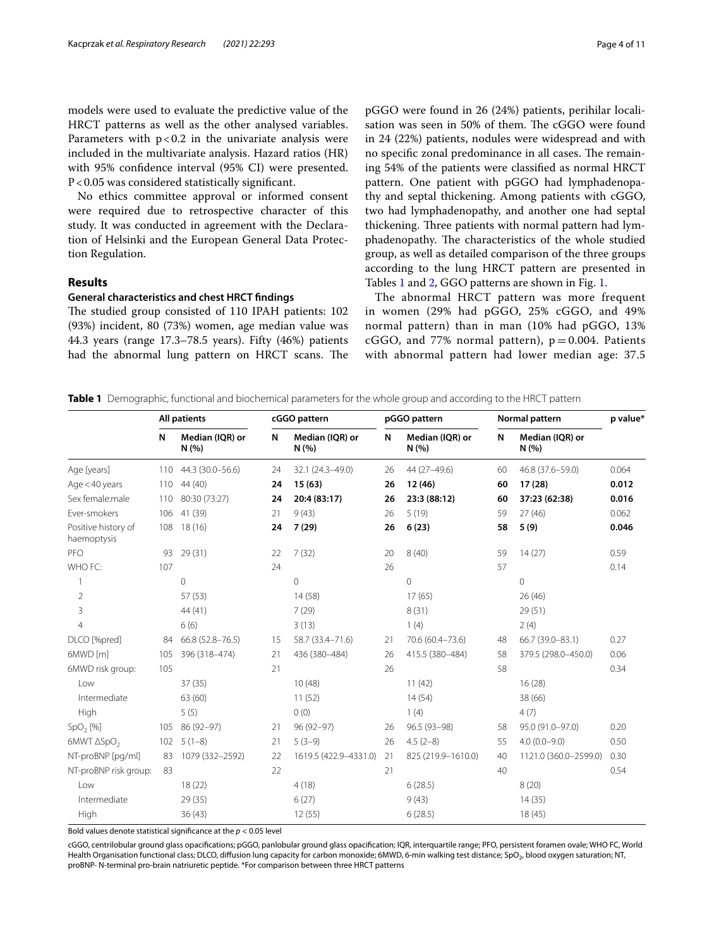models were used to evaluate the predictive value of the HRCT patterns as well as the other analysed variables. Parameters with  $p < 0.2$  in the univariate analysis were included in the multivariate analysis. Hazard ratios (HR) with 95% confdence interval (95% CI) were presented. P<0.05 was considered statistically signifcant.

No ethics committee approval or informed consent were required due to retrospective character of this study. It was conducted in agreement with the Declaration of Helsinki and the European General Data Protection Regulation.

# **Results**

## **General characteristics and chest HRCT fndings**

The studied group consisted of 110 IPAH patients: 102 (93%) incident, 80 (73%) women, age median value was 44.3 years (range 17.3–78.5 years). Fifty (46%) patients had the abnormal lung pattern on HRCT scans. The pGGO were found in 26 (24%) patients, perihilar localisation was seen in 50% of them. The cGGO were found in 24 (22%) patients, nodules were widespread and with no specific zonal predominance in all cases. The remaining 54% of the patients were classifed as normal HRCT pattern. One patient with pGGO had lymphadenopathy and septal thickening. Among patients with cGGO, two had lymphadenopathy, and another one had septal thickening. Three patients with normal pattern had lymphadenopathy. The characteristics of the whole studied group, as well as detailed comparison of the three groups according to the lung HRCT pattern are presented in Tables [1](#page-3-0) and [2,](#page-4-0) GGO patterns are shown in Fig. [1.](#page-4-1)

The abnormal HRCT pattern was more frequent in women (29% had pGGO, 25% cGGO, and 49% normal pattern) than in man (10% had pGGO, 13% cGGO, and 77% normal pattern),  $p = 0.004$ . Patients with abnormal pattern had lower median age: 37.5

<span id="page-3-0"></span>**Table 1** Demographic, functional and biochemical parameters for the whole group and according to the HRCT pattern

|                                    | <b>All patients</b> |                          | cGGO pattern |                         | pGGO pattern |                        | Normal pattern |                          | p value* |
|------------------------------------|---------------------|--------------------------|--------------|-------------------------|--------------|------------------------|----------------|--------------------------|----------|
|                                    | N                   | Median (IQR) or<br>N(% ) | N            | Median (IQR) or<br>N(%) | N            | Median (IQR) or<br>N(% | N              | Median (IQR) or<br>N(% ) |          |
| Age [years]                        | 110                 | 44.3 (30.0-56.6)         | 24           | 32.1 (24.3-49.0)        | 26           | 44 (27-49.6)           | 60             | 46.8 (37.6-59.0)         | 0.064    |
| Age $<$ 40 years                   | 110                 | 44 (40)                  | 24           | 15(63)                  | 26           | 12(46)                 | 60             | 17(28)                   | 0.012    |
| Sex female:male                    | 110                 | 80:30 (73:27)            | 24           | 20:4 (83:17)            | 26           | 23:3 (88:12)           | 60             | 37:23 (62:38)            | 0.016    |
| Ever-smokers                       | 106                 | 41 (39)                  | 21           | 9(43)                   | 26           | 5(19)                  | 59             | 27(46)                   | 0.062    |
| Positive history of<br>haemoptysis | 108                 | 18(16)                   | 24           | 7(29)                   | 26           | 6(23)                  | 58             | 5(9)                     | 0.046    |
| PFO                                | 93                  | 29(31)                   | 22           | 7(32)                   | 20           | 8(40)                  | 59             | 14(27)                   | 0.59     |
| WHO FC:                            | 107                 |                          | 24           |                         | 26           |                        | 57             |                          | 0.14     |
| $\mathbf{1}$                       |                     | 0                        |              | $\mathbf{0}$            |              | $\circ$                |                | $\Omega$                 |          |
| $\overline{2}$                     |                     | 57(53)                   |              | 14(58)                  |              | 17(65)                 |                | 26(46)                   |          |
| 3                                  |                     | 44 (41)                  |              | 7(29)                   |              | 8(31)                  |                | 29(51)                   |          |
| $\overline{4}$                     |                     | 6(6)                     |              | 3(13)                   |              | 1(4)                   |                | 2(4)                     |          |
| DLCO [%pred]                       | 84                  | 66.8 (52.8-76.5)         | 15           | 58.7 (33.4-71.6)        | 21           | 70.6 (60.4-73.6)       | 48             | 66.7 (39.0-83.1)         | 0.27     |
| 6MWD [m]                           | 105                 | 396 (318-474)            | 21           | 436 (380-484)           | 26           | 415.5 (380-484)        | 58             | 379.5 (298.0-450.0)      | 0.06     |
| 6MWD risk group:                   | 105                 |                          | 21           |                         | 26           |                        | 58             |                          | 0.34     |
| Low                                |                     | 37(35)                   |              | 10(48)                  |              | 11(42)                 |                | 16(28)                   |          |
| Intermediate                       |                     | 63 (60)                  |              | 11(52)                  |              | 14(54)                 |                | 38 (66)                  |          |
| High                               |                     | 5(5)                     |              | 0(0)                    |              | 1(4)                   |                | 4(7)                     |          |
| SpO <sub>2</sub> [%]               | 105                 | 86 (92-97)               | 21           | 96 (92-97)              | 26           | 96.5 (93-98)           | 58             | 95.0 (91.0-97.0)         | 0.20     |
| 6MWT ASpO <sub>2</sub>             | 102                 | $5(1-8)$                 | 21           | $5(3-9)$                | 26           | $4.5(2-8)$             | 55             | $4.0(0.0 - 9.0)$         | 0.50     |
| NT-proBNP [pq/ml]                  | 83                  | 1079 (332-2592)          | 22           | 1619.5 (422.9-4331.0)   | 21           | 825 (219.9-1610.0)     | 40             | 1121.0 (360.0-2599.0)    | 0.30     |
| NT-proBNP risk group:              | 83                  |                          | 22           |                         | 21           |                        | 40             |                          | 0.54     |
| Low                                |                     | 18(22)                   |              | 4(18)                   |              | 6(28.5)                |                | 8(20)                    |          |
| Intermediate                       |                     | 29 (35)                  |              | 6(27)                   |              | 9(43)                  |                | 14(35)                   |          |
| High                               |                     | 36(43)                   |              | 12(55)                  |              | 6(28.5)                |                | 18(45)                   |          |

Bold values denote statistical signifcance at the *p* < 0.05 level

cGGO, centrilobular ground glass opacifcations; pGGO, panlobular ground glass opacifcation; IQR, interquartile range; PFO, persistent foramen ovale; WHO FC, World Health Organisation functional class; DLCO, diffusion lung capacity for carbon monoxide; 6MWD, 6-min walking test distance; SpO<sub>2</sub>, blood oxygen saturation; NT, proBNP- N-terminal pro-brain natriuretic peptide. \*For comparison between three HRCT patterns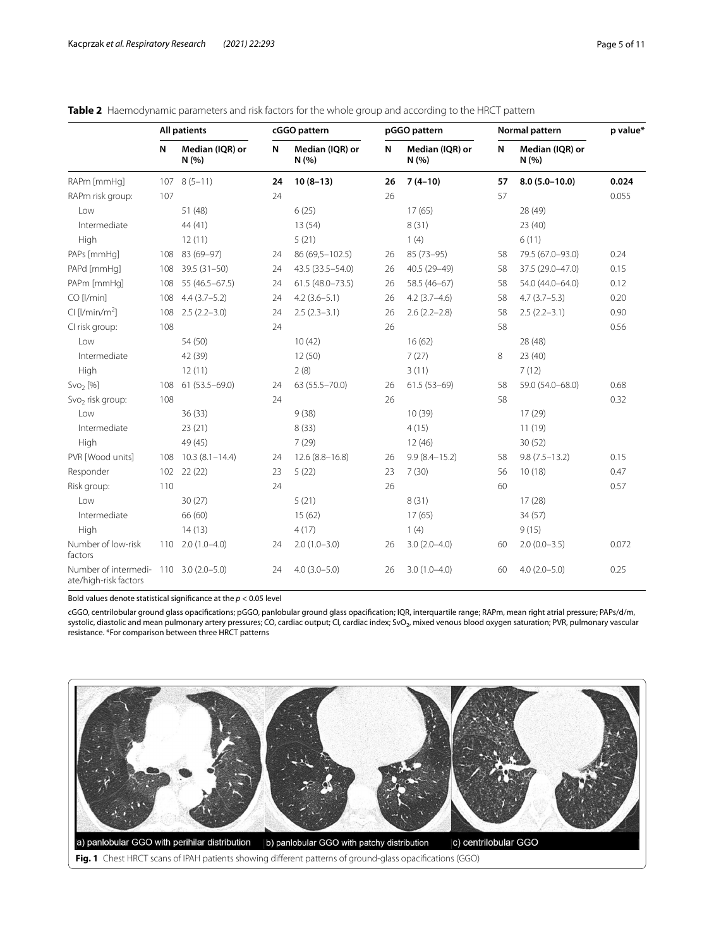|                                                                 | <b>All patients</b> |                          | cGGO pattern |                          |    | pGGO pattern           |    | Normal pattern           |       |
|-----------------------------------------------------------------|---------------------|--------------------------|--------------|--------------------------|----|------------------------|----|--------------------------|-------|
|                                                                 | N                   | Median (IQR) or<br>N(% ) | N            | Median (IQR) or<br>N(% ) | N  | Median (IQR) or<br>N(% | N  | Median (IQR) or<br>N(% ) |       |
| RAPm [mmHq]                                                     |                     | $107$ $8(5-11)$          | 24           | $10(8-13)$               | 26 | $7(4-10)$              | 57 | $8.0(5.0 - 10.0)$        | 0.024 |
| RAPm risk group:                                                | 107                 |                          | 24           |                          | 26 |                        | 57 |                          | 0.055 |
| l ow                                                            |                     | 51 (48)                  |              | 6(25)                    |    | 17(65)                 |    | 28 (49)                  |       |
| Intermediate                                                    |                     | 44 (41)                  |              | 13(54)                   |    | 8(31)                  |    | 23(40)                   |       |
| High                                                            |                     | 12(11)                   |              | 5(21)                    |    | 1(4)                   |    | 6(11)                    |       |
| PAPs [mmHq]                                                     | 108                 | 83 (69-97)               | 24           | 86 (69,5-102.5)          | 26 | 85 (73-95)             | 58 | 79.5 (67.0-93.0)         | 0.24  |
| PAPd [mmHg]                                                     | 108                 | $39.5(31 - 50)$          | 24           | 43.5 (33.5 - 54.0)       | 26 | 40.5 (29-49)           | 58 | 37.5 (29.0-47.0)         | 0.15  |
| PAPm [mmHq]                                                     | 108                 | $55(46.5 - 67.5)$        | 24           | $61.5(48.0 - 73.5)$      | 26 | 58.5 (46-67)           | 58 | 54.0 (44.0-64.0)         | 0.12  |
| CO [l/min]                                                      | 108                 | $4.4(3.7-5.2)$           | 24           | $4.2(3.6 - 5.1)$         | 26 | $4.2(3.7-4.6)$         | 58 | $4.7(3.7-5.3)$           | 0.20  |
| Cl [l/min/m <sup>2</sup> ]                                      | 108                 | $2.5(2.2 - 3.0)$         | 24           | $2.5(2.3-3.1)$           | 26 | $2.6(2.2 - 2.8)$       | 58 | $2.5(2.2-3.1)$           | 0.90  |
| CI risk group:                                                  | 108                 |                          | 24           |                          | 26 |                        | 58 |                          | 0.56  |
| Low                                                             |                     | 54 (50)                  |              | 10(42)                   |    | 16(62)                 |    | 28 (48)                  |       |
| Intermediate                                                    |                     | 42 (39)                  |              | 12(50)                   |    | 7(27)                  | 8  | 23(40)                   |       |
| High                                                            |                     | 12(11)                   |              | 2(8)                     |    | 3(11)                  |    | 7(12)                    |       |
| Svo <sub>2</sub> [%]                                            | 108                 | $61(53.5 - 69.0)$        | 24           | 63 (55.5 - 70.0)         | 26 | $61.5(53-69)$          | 58 | 59.0 (54.0-68.0)         | 0.68  |
| Svo <sub>2</sub> risk group:                                    | 108                 |                          | 24           |                          | 26 |                        | 58 |                          | 0.32  |
| l ow                                                            |                     | 36(33)                   |              | 9(38)                    |    | 10(39)                 |    | 17(29)                   |       |
| Intermediate                                                    |                     | 23(21)                   |              | 8(33)                    |    | 4(15)                  |    | 11(19)                   |       |
| High                                                            |                     | 49 (45)                  |              | 7(29)                    |    | 12(46)                 |    | 30(52)                   |       |
| PVR [Wood units]                                                | 108                 | $10.3(8.1 - 14.4)$       | 24           | $12.6(8.8 - 16.8)$       | 26 | $9.9(8.4 - 15.2)$      | 58 | $9.8(7.5 - 13.2)$        | 0.15  |
| Responder                                                       | 102                 | 22(22)                   | 23           | 5(22)                    | 23 | 7(30)                  | 56 | 10(18)                   | 0.47  |
| Risk group:                                                     | 110                 |                          | 24           |                          | 26 |                        | 60 |                          | 0.57  |
| Low                                                             |                     | 30(27)                   |              | 5(21)                    |    | 8(31)                  |    | 17(28)                   |       |
| Intermediate                                                    |                     | 66 (60)                  |              | 15(62)                   |    | 17(65)                 |    | 34 (57)                  |       |
| High                                                            |                     | 14(13)                   |              | 4(17)                    |    | 1(4)                   |    | 9(15)                    |       |
| Number of low-risk<br>factors                                   | 110                 | $2.0(1.0-4.0)$           | 24           | $2.0(1.0-3.0)$           | 26 | $3.0(2.0-4.0)$         | 60 | $2.0(0.0-3.5)$           | 0.072 |
| Number of intermedi- 110 3.0 (2.0-5.0)<br>ate/high-risk factors |                     |                          | 24           | $4.0(3.0 - 5.0)$         | 26 | $3.0(1.0-4.0)$         | 60 | $4.0(2.0-5.0)$           | 0.25  |

# <span id="page-4-0"></span>**Table 2** Haemodynamic parameters and risk factors for the whole group and according to the HRCT pattern

Bold values denote statistical signifcance at the *p* < 0.05 level

cGGO, centrilobular ground glass opacifcations; pGGO, panlobular ground glass opacifcation; IQR, interquartile range; RAPm, mean right atrial pressure; PAPs/d/m, systolic, diastolic and mean pulmonary artery pressures; CO, cardiac output; CI, cardiac index; SvO<sub>2</sub>, mixed venous blood oxygen saturation; PVR, pulmonary vascular resistance. \*For comparison between three HRCT patterns

<span id="page-4-1"></span>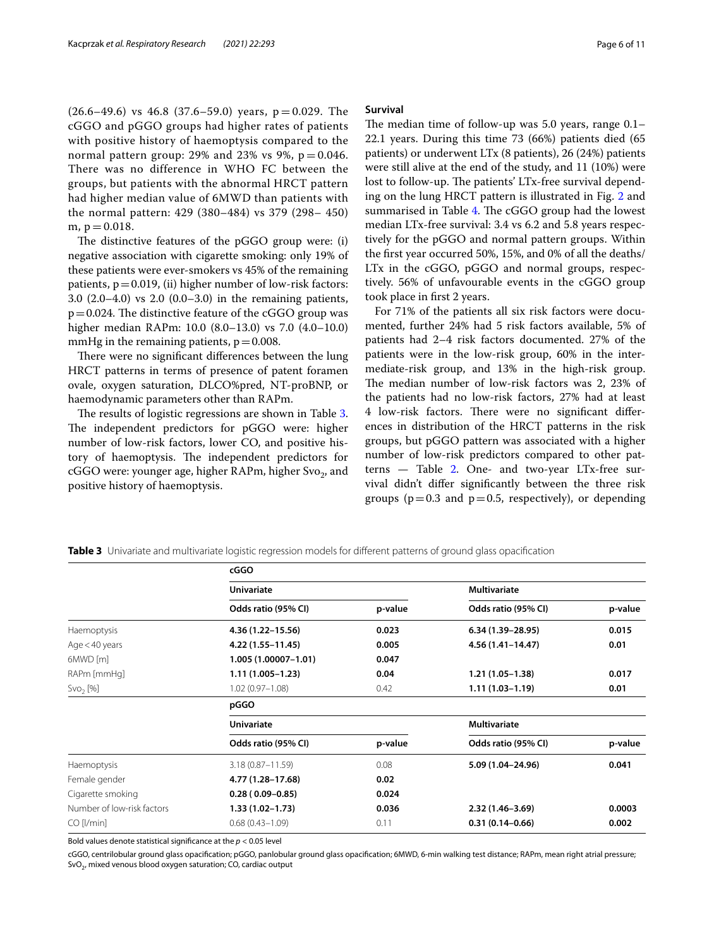$(26.6-49.6)$  vs 46.8  $(37.6-59.0)$  years, p = 0.029. The cGGO and pGGO groups had higher rates of patients with positive history of haemoptysis compared to the normal pattern group: 29% and 23% vs 9%,  $p = 0.046$ . There was no difference in WHO FC between the groups, but patients with the abnormal HRCT pattern had higher median value of 6MWD than patients with the normal pattern: 429 (380–484) vs 379 (298– 450) m,  $p = 0.018$ .

The distinctive features of the pGGO group were: (i) negative association with cigarette smoking: only 19% of these patients were ever-smokers vs 45% of the remaining patients,  $p=0.019$ , (ii) higher number of low-risk factors: 3.0 (2.0–4.0) vs 2.0 (0.0–3.0) in the remaining patients,  $p=0.024$ . The distinctive feature of the cGGO group was higher median RAPm: 10.0 (8.0–13.0) vs 7.0 (4.0–10.0) mmHg in the remaining patients,  $p = 0.008$ .

There were no significant differences between the lung HRCT patterns in terms of presence of patent foramen ovale, oxygen saturation, DLCO%pred, NT-proBNP, or haemodynamic parameters other than RAPm.

The results of logistic regressions are shown in Table [3](#page-5-0). The independent predictors for pGGO were: higher number of low-risk factors, lower CO, and positive history of haemoptysis. The independent predictors for cGGO were: younger age, higher RAPm, higher Svo<sub>2</sub>, and positive history of haemoptysis.

#### **Survival**

The median time of follow-up was  $5.0$  years, range  $0.1-$ 22.1 years. During this time 73 (66%) patients died (65 patients) or underwent LTx (8 patients), 26 (24%) patients were still alive at the end of the study, and 11 (10%) were lost to follow-up. The patients' LTx-free survival depending on the lung HRCT pattern is illustrated in Fig. [2](#page-6-0) and summarised in Table [4.](#page-6-1) The cGGO group had the lowest median LTx-free survival: 3.4 vs 6.2 and 5.8 years respectively for the pGGO and normal pattern groups. Within the frst year occurred 50%, 15%, and 0% of all the deaths/ LTx in the cGGO, pGGO and normal groups, respectively. 56% of unfavourable events in the cGGO group took place in frst 2 years.

For 71% of the patients all six risk factors were documented, further 24% had 5 risk factors available, 5% of patients had 2–4 risk factors documented. 27% of the patients were in the low-risk group, 60% in the intermediate-risk group, and 13% in the high-risk group. The median number of low-risk factors was 2, 23% of the patients had no low-risk factors, 27% had at least 4 low-risk factors. There were no significant differences in distribution of the HRCT patterns in the risk groups, but pGGO pattern was associated with a higher number of low-risk predictors compared to other patterns — Table [2.](#page-4-0) One- and two-year LTx-free survival didn't difer signifcantly between the three risk groups ( $p=0.3$  and  $p=0.5$ , respectively), or depending

<span id="page-5-0"></span>**Table 3** Univariate and multivariate logistic regression models for diferent patterns of ground glass opacifcation

|                            | cGGO                 |                             |                     |         |  |  |
|----------------------------|----------------------|-----------------------------|---------------------|---------|--|--|
|                            | <b>Univariate</b>    |                             | <b>Multivariate</b> |         |  |  |
|                            | Odds ratio (95% CI)  | p-value                     | Odds ratio (95% CI) | p-value |  |  |
| Haemoptysis                | 4.36 (1.22-15.56)    | 0.023                       | $6.34(1.39-28.95)$  | 0.015   |  |  |
| Age $<$ 40 years           | 4.22 (1.55-11.45)    | 0.005                       | 4.56 (1.41-14.47)   | 0.01    |  |  |
| 6MWD [m]                   | 1.005 (1.00007-1.01) | 0.047                       |                     |         |  |  |
| RAPm [mmHq]                | 1.11 (1.005-1.23)    | 0.04                        | $1.21(1.05-1.38)$   | 0.017   |  |  |
| Svo <sub>2</sub> [%]       | $1.02(0.97 - 1.08)$  | $1.11(1.03 - 1.19)$<br>0.42 |                     | 0.01    |  |  |
|                            | pGGO                 |                             |                     |         |  |  |
|                            | <b>Univariate</b>    | <b>Multivariate</b>         |                     |         |  |  |
|                            | Odds ratio (95% CI)  | p-value                     | Odds ratio (95% CI) | p-value |  |  |
| Haemoptysis                | $3.18(0.87 - 11.59)$ | 0.08                        | 5.09 (1.04-24.96)   | 0.041   |  |  |
| Female gender              | 4.77 (1.28–17.68)    | 0.02                        |                     |         |  |  |
| Cigarette smoking          | $0.28(0.09 - 0.85)$  | 0.024                       |                     |         |  |  |
| Number of low-risk factors | $1.33(1.02 - 1.73)$  | 0.036                       | $2.32(1.46 - 3.69)$ | 0.0003  |  |  |
| $CO$ [ $/min$ ]            | $0.68(0.43 - 1.09)$  | 0.11                        | $0.31(0.14 - 0.66)$ | 0.002   |  |  |

Bold values denote statistical signifcance at the *p* < 0.05 level

cGGO, centrilobular ground glass opacifcation; pGGO, panlobular ground glass opacifcation; 6MWD, 6-min walking test distance; RAPm, mean right atrial pressure;  $SvO<sub>2</sub>$ , mixed venous blood oxygen saturation; CO, cardiac output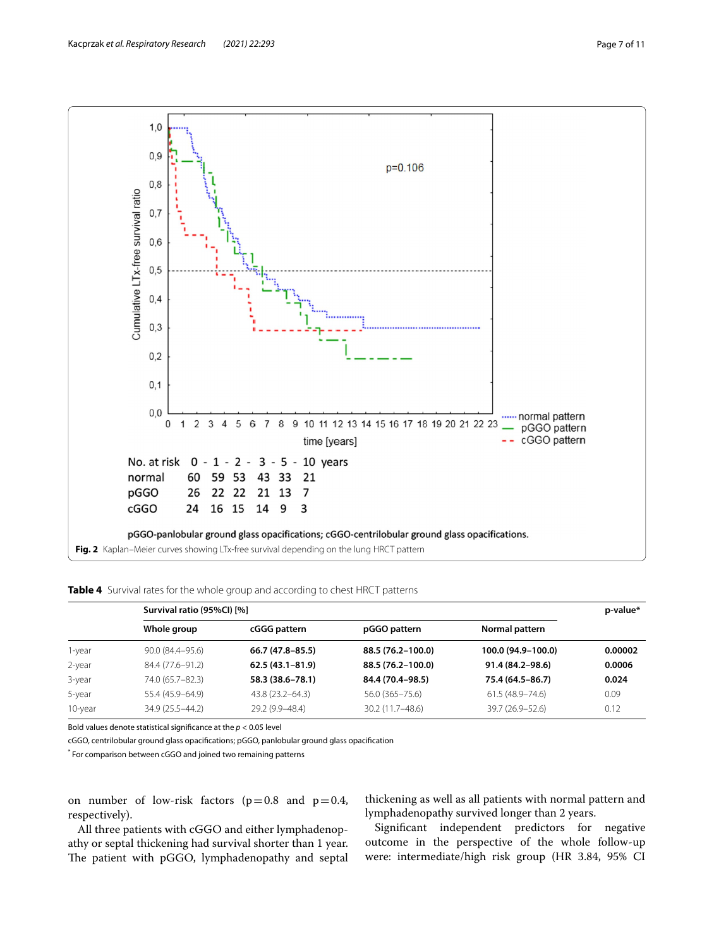

<span id="page-6-1"></span><span id="page-6-0"></span>**Table 4** Survival rates for the whole group and according to chest HRCT patterns

|         | Survival ratio (95%CI) [%] |                     |                   |                     |         |  |
|---------|----------------------------|---------------------|-------------------|---------------------|---------|--|
|         | Whole group                | cGGG pattern        | pGGO pattern      | Normal pattern      |         |  |
| 1-year  | 90.0 (84.4–95.6)           | $66.7(47.8 - 85.5)$ | 88.5 (76.2-100.0) | 100.0 (94.9-100.0)  | 0.00002 |  |
| 2-year  | 84.4 (77.6-91.2)           | $62.5(43.1 - 81.9)$ | 88.5 (76.2-100.0) | $91.4(84.2 - 98.6)$ | 0.0006  |  |
| 3-year  | 74.0 (65.7-82.3)           | 58.3 (38.6-78.1)    | 84.4 (70.4-98.5)  | 75.4 (64.5-86.7)    | 0.024   |  |
| 5-year  | 55.4 (45.9–64.9)           | 43.8 (23.2–64.3)    | 56.0 (365-75.6)   | $61.5(48.9 - 74.6)$ | 0.09    |  |
| 10-year | 34.9 (25.5 - 44.2)         | 29.2 (9.9-48.4)     | 30.2 (11.7–48.6)  | 39.7 (26.9–52.6)    | 0.12    |  |

Bold values denote statistical signifcance at the *p* < 0.05 level

cGGO, centrilobular ground glass opacifcations; pGGO, panlobular ground glass opacifcation

\* For comparison between cGGO and joined two remaining patterns

on number of low-risk factors ( $p=0.8$  and  $p=0.4$ , respectively).

All three patients with cGGO and either lymphadenopathy or septal thickening had survival shorter than 1 year. The patient with pGGO, lymphadenopathy and septal

thickening as well as all patients with normal pattern and lymphadenopathy survived longer than 2 years.

Signifcant independent predictors for negative outcome in the perspective of the whole follow-up were: intermediate/high risk group (HR 3.84, 95% CI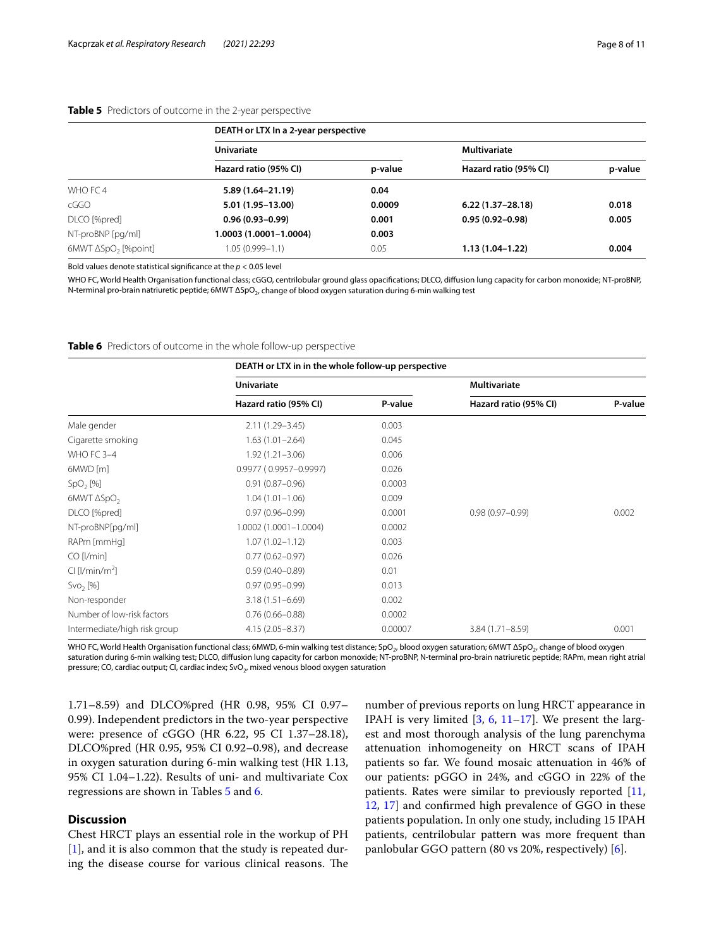## <span id="page-7-0"></span>**Table 5** Predictors of outcome in the 2-year perspective

|                             | DEATH or LTX In a 2-year perspective |         |                       |         |  |  |  |
|-----------------------------|--------------------------------------|---------|-----------------------|---------|--|--|--|
|                             | <b>Univariate</b>                    |         | Multivariate          |         |  |  |  |
|                             | Hazard ratio (95% CI)                | p-value | Hazard ratio (95% CI) | p-value |  |  |  |
| WHO FC 4                    | $5.89(1.64 - 21.19)$                 | 0.04    |                       |         |  |  |  |
| cGGO                        | 5.01 (1.95-13.00)                    | 0.0009  | $6.22(1.37-28.18)$    | 0.018   |  |  |  |
| DLCO [%pred]                | $0.96(0.93 - 0.99)$                  | 0.001   | $0.95(0.92 - 0.98)$   | 0.005   |  |  |  |
| NT-proBNP [pg/ml]           | 1.0003 (1.0001-1.0004)               | 0.003   |                       |         |  |  |  |
| $6MWT \Delta SpO2$ [%point] | 1.05 (0.999-1.1)                     | 0.05    | $1.13(1.04-1.22)$     | 0.004   |  |  |  |

Bold values denote statistical signifcance at the *p* < 0.05 level

WHO FC, World Health Organisation functional class; cGGO, centrilobular ground glass opacifcations; DLCO, difusion lung capacity for carbon monoxide; NT-proBNP, N-terminal pro-brain natriuretic peptide; 6MWT ΔSpO<sub>2</sub>, change of blood oxygen saturation during 6-min walking test

<span id="page-7-1"></span>**Table 6** Predictors of outcome in the whole follow-up perspective

|                              | DEATH or LTX in in the whole follow-up perspective |         |                       |         |  |  |
|------------------------------|----------------------------------------------------|---------|-----------------------|---------|--|--|
|                              | <b>Univariate</b>                                  |         | <b>Multivariate</b>   |         |  |  |
|                              | Hazard ratio (95% CI)                              | P-value | Hazard ratio (95% CI) | P-value |  |  |
| Male gender                  | 2.11 (1.29-3.45)                                   | 0.003   |                       |         |  |  |
| Cigarette smoking            | $1.63(1.01 - 2.64)$                                | 0.045   |                       |         |  |  |
| WHO FC 3-4                   | $1.92(1.21 - 3.06)$                                | 0.006   |                       |         |  |  |
| 6MWD [m]                     | $0.9977(0.9957 - 0.9997)$                          | 0.026   |                       |         |  |  |
| SpO <sub>2</sub> [%]         | $0.91(0.87 - 0.96)$                                | 0.0003  |                       |         |  |  |
| 6MWT $\Delta SpO2$           | $1.04(1.01 - 1.06)$                                | 0.009   |                       |         |  |  |
| DLCO [%pred]                 | $0.97(0.96 - 0.99)$                                | 0.0001  | $0.98(0.97 - 0.99)$   | 0.002   |  |  |
| NT-proBNP[pq/ml]             | 1.0002 (1.0001-1.0004)                             | 0.0002  |                       |         |  |  |
| RAPm [mmHq]                  | $1.07(1.02 - 1.12)$                                | 0.003   |                       |         |  |  |
| $CO$ [ $/min$ ]              | $0.77(0.62 - 0.97)$                                | 0.026   |                       |         |  |  |
| $Cl$ [ $l/min/m2$ ]          | $0.59(0.40 - 0.89)$                                | 0.01    |                       |         |  |  |
| Svo <sub>2</sub> [%]         | $0.97(0.95 - 0.99)$                                | 0.013   |                       |         |  |  |
| Non-responder                | $3.18(1.51 - 6.69)$                                | 0.002   |                       |         |  |  |
| Number of low-risk factors   | $0.76(0.66 - 0.88)$                                | 0.0002  |                       |         |  |  |
| Intermediate/high risk group | $4.15(2.05 - 8.37)$                                | 0.00007 | 3.84 (1.71-8.59)      | 0.001   |  |  |

WHO FC, World Health Organisation functional class; 6MWD, 6-min walking test distance; SpO<sub>2</sub>, blood oxygen saturation; 6MWT ΔSpO<sub>2</sub>, change of blood oxygen saturation during 6-min walking test; DLCO, diffusion lung capacity for carbon monoxide; NT-proBNP, N-terminal pro-brain natriuretic peptide; RAPm, mean right atrial pressure; CO, cardiac output; CI, cardiac index;  $SvO<sub>2</sub>$ , mixed venous blood oxygen saturation

1.71–8.59) and DLCO%pred (HR 0.98, 95% CI 0.97– 0.99). Independent predictors in the two-year perspective were: presence of cGGO (HR 6.22, 95 CI 1.37–28.18), DLCO%pred (HR 0.95, 95% CI 0.92–0.98), and decrease in oxygen saturation during 6-min walking test (HR 1.13, 95% CI 1.04–1.22). Results of uni- and multivariate Cox regressions are shown in Tables [5](#page-7-0) and [6](#page-7-1).

# **Discussion**

Chest HRCT plays an essential role in the workup of PH [[1\]](#page-9-0), and it is also common that the study is repeated during the disease course for various clinical reasons. The number of previous reports on lung HRCT appearance in IPAH is very limited  $[3, 6, 11-17]$  $[3, 6, 11-17]$  $[3, 6, 11-17]$  $[3, 6, 11-17]$  $[3, 6, 11-17]$ . We present the largest and most thorough analysis of the lung parenchyma attenuation inhomogeneity on HRCT scans of IPAH patients so far. We found mosaic attenuation in 46% of our patients: pGGO in 24%, and cGGO in 22% of the patients. Rates were similar to previously reported [[11](#page-10-17), [12,](#page-10-18) [17\]](#page-10-5) and confrmed high prevalence of GGO in these patients population. In only one study, including 15 IPAH patients, centrilobular pattern was more frequent than panlobular GGO pattern (80 vs 20%, respectively) [[6\]](#page-10-0).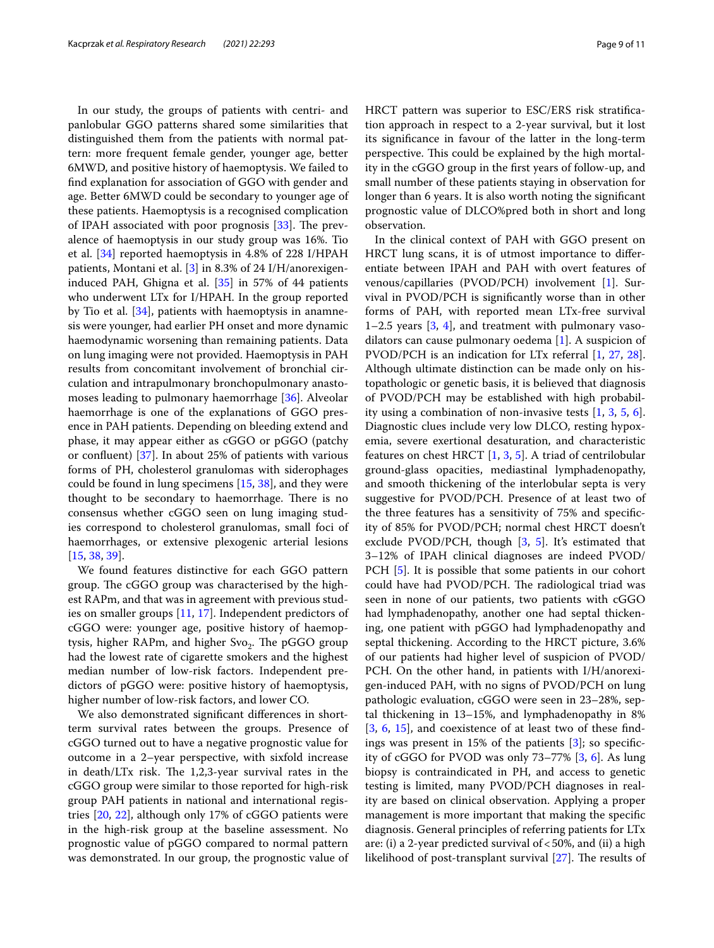In our study, the groups of patients with centri- and panlobular GGO patterns shared some similarities that distinguished them from the patients with normal pattern: more frequent female gender, younger age, better 6MWD, and positive history of haemoptysis. We failed to fnd explanation for association of GGO with gender and age. Better 6MWD could be secondary to younger age of these patients. Haemoptysis is a recognised complication of IPAH associated with poor prognosis  $[33]$  $[33]$ . The prevalence of haemoptysis in our study group was 16%. Tio et al. [[34](#page-10-23)] reported haemoptysis in 4.8% of 228 I/HPAH patients, Montani et al. [[3\]](#page-9-2) in 8.3% of 24 I/H/anorexigeninduced PAH, Ghigna et al. [[35\]](#page-10-24) in 57% of 44 patients who underwent LTx for I/HPAH. In the group reported by Tio et al. [\[34\]](#page-10-23), patients with haemoptysis in anamnesis were younger, had earlier PH onset and more dynamic haemodynamic worsening than remaining patients. Data on lung imaging were not provided. Haemoptysis in PAH results from concomitant involvement of bronchial circulation and intrapulmonary bronchopulmonary anastomoses leading to pulmonary haemorrhage [[36\]](#page-10-25). Alveolar haemorrhage is one of the explanations of GGO presence in PAH patients. Depending on bleeding extend and phase, it may appear either as cGGO or pGGO (patchy or confuent) [[37\]](#page-10-26). In about 25% of patients with various forms of PH, cholesterol granulomas with siderophages could be found in lung specimens [[15](#page-10-6), [38](#page-10-27)], and they were thought to be secondary to haemorrhage. There is no consensus whether cGGO seen on lung imaging studies correspond to cholesterol granulomas, small foci of haemorrhages, or extensive plexogenic arterial lesions [[15,](#page-10-6) [38](#page-10-27), [39](#page-10-28)].

We found features distinctive for each GGO pattern group. The cGGO group was characterised by the highest RAPm, and that was in agreement with previous studies on smaller groups [\[11](#page-10-17), [17\]](#page-10-5). Independent predictors of cGGO were: younger age, positive history of haemoptysis, higher RAPm, and higher Svo<sub>2</sub>. The pGGO group had the lowest rate of cigarette smokers and the highest median number of low-risk factors. Independent predictors of pGGO were: positive history of haemoptysis, higher number of low-risk factors, and lower CO.

We also demonstrated signifcant diferences in shortterm survival rates between the groups. Presence of cGGO turned out to have a negative prognostic value for outcome in a 2–year perspective, with sixfold increase in death/LTx risk. The  $1,2,3$ -year survival rates in the cGGO group were similar to those reported for high-risk group PAH patients in national and international registries [[20,](#page-10-29) [22\]](#page-10-20), although only 17% of cGGO patients were in the high-risk group at the baseline assessment. No prognostic value of pGGO compared to normal pattern was demonstrated. In our group, the prognostic value of HRCT pattern was superior to ESC/ERS risk stratifcation approach in respect to a 2-year survival, but it lost its signifcance in favour of the latter in the long-term perspective. This could be explained by the high mortality in the cGGO group in the frst years of follow-up, and small number of these patients staying in observation for longer than 6 years. It is also worth noting the signifcant prognostic value of DLCO%pred both in short and long observation.

In the clinical context of PAH with GGO present on HRCT lung scans, it is of utmost importance to diferentiate between IPAH and PAH with overt features of venous/capillaries (PVOD/PCH) involvement [[1](#page-9-0)]. Survival in PVOD/PCH is signifcantly worse than in other forms of PAH, with reported mean LTx-free survival  $1-2.5$  years  $[3, 4]$  $[3, 4]$  $[3, 4]$  $[3, 4]$ , and treatment with pulmonary vasodilators can cause pulmonary oedema [\[1](#page-9-0)]. A suspicion of PVOD/PCH is an indication for LTx referral [\[1](#page-9-0), [27,](#page-10-11) [28](#page-10-12)]. Although ultimate distinction can be made only on histopathologic or genetic basis, it is believed that diagnosis of PVOD/PCH may be established with high probability using a combination of non-invasive tests [\[1](#page-9-0), [3,](#page-9-2) [5,](#page-9-3) [6](#page-10-0)]. Diagnostic clues include very low DLCO, resting hypoxemia, severe exertional desaturation, and characteristic features on chest HRCT  $[1, 3, 5]$  $[1, 3, 5]$  $[1, 3, 5]$  $[1, 3, 5]$  $[1, 3, 5]$ . A triad of centrilobular ground-glass opacities, mediastinal lymphadenopathy, and smooth thickening of the interlobular septa is very suggestive for PVOD/PCH. Presence of at least two of the three features has a sensitivity of 75% and specifcity of 85% for PVOD/PCH; normal chest HRCT doesn't exclude PVOD/PCH, though [\[3](#page-9-2), [5\]](#page-9-3). It's estimated that 3–12% of IPAH clinical diagnoses are indeed PVOD/ PCH [[5](#page-9-3)]. It is possible that some patients in our cohort could have had PVOD/PCH. The radiological triad was seen in none of our patients, two patients with cGGO had lymphadenopathy, another one had septal thickening, one patient with pGGO had lymphadenopathy and septal thickening. According to the HRCT picture, 3.6% of our patients had higher level of suspicion of PVOD/ PCH. On the other hand, in patients with I/H/anorexigen-induced PAH, with no signs of PVOD/PCH on lung pathologic evaluation, cGGO were seen in 23–28%, septal thickening in 13–15%, and lymphadenopathy in 8% [[3,](#page-9-2) [6,](#page-10-0) [15](#page-10-6)], and coexistence of at least two of these fndings was present in 15% of the patients [[3\]](#page-9-2); so specifcity of cGGO for PVOD was only 73–77% [[3,](#page-9-2) [6](#page-10-0)]. As lung biopsy is contraindicated in PH, and access to genetic testing is limited, many PVOD/PCH diagnoses in reality are based on clinical observation. Applying a proper management is more important that making the specifc diagnosis. General principles of referring patients for LTx are: (i) a 2-year predicted survival of  $<$  50%, and (ii) a high likelihood of post-transplant survival  $[27]$  $[27]$ . The results of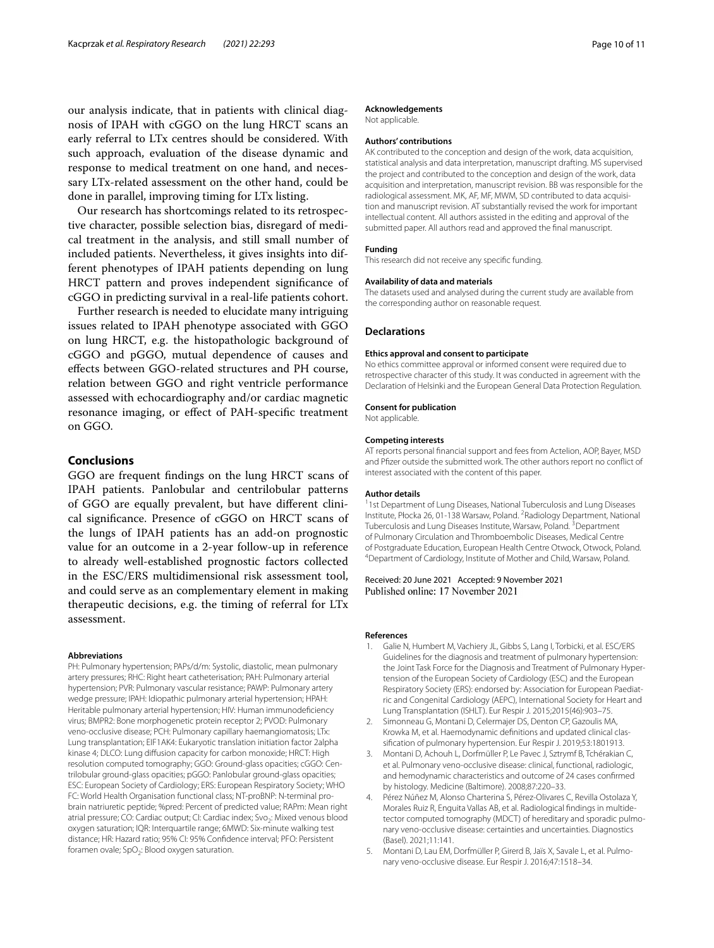our analysis indicate, that in patients with clinical diagnosis of IPAH with cGGO on the lung HRCT scans an early referral to LTx centres should be considered. With such approach, evaluation of the disease dynamic and response to medical treatment on one hand, and necessary LTx-related assessment on the other hand, could be done in parallel, improving timing for LTx listing.

Our research has shortcomings related to its retrospective character, possible selection bias, disregard of medical treatment in the analysis, and still small number of included patients. Nevertheless, it gives insights into different phenotypes of IPAH patients depending on lung HRCT pattern and proves independent signifcance of cGGO in predicting survival in a real-life patients cohort.

Further research is needed to elucidate many intriguing issues related to IPAH phenotype associated with GGO on lung HRCT, e.g. the histopathologic background of cGGO and pGGO, mutual dependence of causes and efects between GGO-related structures and PH course, relation between GGO and right ventricle performance assessed with echocardiography and/or cardiac magnetic resonance imaging, or efect of PAH-specifc treatment on GGO.

## **Conclusions**

GGO are frequent fndings on the lung HRCT scans of IPAH patients. Panlobular and centrilobular patterns of GGO are equally prevalent, but have diferent clinical signifcance. Presence of cGGO on HRCT scans of the lungs of IPAH patients has an add-on prognostic value for an outcome in a 2-year follow-up in reference to already well-established prognostic factors collected in the ESC/ERS multidimensional risk assessment tool, and could serve as an complementary element in making therapeutic decisions, e.g. the timing of referral for LTx assessment.

#### **Abbreviations**

PH: Pulmonary hypertension; PAPs/d/m: Systolic, diastolic, mean pulmonary artery pressures; RHC: Right heart catheterisation; PAH: Pulmonary arterial hypertension; PVR: Pulmonary vascular resistance; PAWP: Pulmonary artery wedge pressure; IPAH: Idiopathic pulmonary arterial hypertension; HPAH: Heritable pulmonary arterial hypertension; HIV: Human immunodefciency virus; BMPR2: Bone morphogenetic protein receptor 2; PVOD: Pulmonary veno-occlusive disease; PCH: Pulmonary capillary haemangiomatosis; LTx: Lung transplantation; EIF1AK4: Eukaryotic translation initiation factor 2alpha kinase 4; DLCO: Lung difusion capacity for carbon monoxide; HRCT: High resolution computed tomography; GGO: Ground-glass opacities; cGGO: Centrilobular ground-glass opacities; pGGO: Panlobular ground-glass opacities; ESC: European Society of Cardiology; ERS: European Respiratory Society; WHO FC: World Health Organisation functional class; NT-proBNP: N-terminal probrain natriuretic peptide; %pred: Percent of predicted value; RAPm: Mean right atrial pressure; CO: Cardiac output; CI: Cardiac index; Svo<sub>2</sub>: Mixed venous blood oxygen saturation; IQR: Interquartile range; 6MWD: Six-minute walking test distance; HR: Hazard ratio; 95% CI: 95% Confdence interval; PFO: Persistent foramen ovale; SpO<sub>2</sub>: Blood oxygen saturation.

#### **Acknowledgements**

Not applicable.

## **Authors' contributions**

AK contributed to the conception and design of the work, data acquisition, statistical analysis and data interpretation, manuscript drafting. MS supervised the project and contributed to the conception and design of the work, data acquisition and interpretation, manuscript revision. BB was responsible for the radiological assessment. MK, AF, MF, MWM, SD contributed to data acquisition and manuscript revision. AT substantially revised the work for important intellectual content. All authors assisted in the editing and approval of the submitted paper. All authors read and approved the fnal manuscript.

### **Funding**

This research did not receive any specifc funding.

#### **Availability of data and materials**

The datasets used and analysed during the current study are available from the corresponding author on reasonable request.

#### **Declarations**

#### **Ethics approval and consent to participate**

No ethics committee approval or informed consent were required due to retrospective character of this study. It was conducted in agreement with the Declaration of Helsinki and the European General Data Protection Regulation.

#### **Consent for publication**

Not applicable.

#### **Competing interests**

AT reports personal fnancial support and fees from Actelion, AOP, Bayer, MSD and Pfzer outside the submitted work. The other authors report no confict of interest associated with the content of this paper.

#### **Author details**

<sup>1</sup>1st Department of Lung Diseases, National Tuberculosis and Lung Diseases Institute, Płocka 26, 01‑138 Warsaw, Poland. 2 Radiology Department, National Tuberculosis and Lung Diseases Institute, Warsaw, Poland. <sup>3</sup> Department of Pulmonary Circulation and Thromboembolic Diseases, Medical Centre of Postgraduate Education, European Health Centre Otwock, Otwock, Poland. 4 Department of Cardiology, Institute of Mother and Child, Warsaw, Poland.

## Received: 20 June 2021 Accepted: 9 November 2021 Published online: 17 November 2021

## **References**

- <span id="page-9-0"></span>Galie N, Humbert M, Vachiery JL, Gibbs S, Lang I, Torbicki, et al. ESC/ERS Guidelines for the diagnosis and treatment of pulmonary hypertension: the Joint Task Force for the Diagnosis and Treatment of Pulmonary Hypertension of the European Society of Cardiology (ESC) and the European Respiratory Society (ERS): endorsed by: Association for European Paediatric and Congenital Cardiology (AEPC), International Society for Heart and Lung Transplantation (ISHLT). Eur Respir J. 2015;2015(46):903–75.
- <span id="page-9-1"></span>2. Simonneau G, Montani D, Celermajer DS, Denton CP, Gazoulis MA, Krowka M, et al. Haemodynamic definitions and updated clinical classifcation of pulmonary hypertension. Eur Respir J. 2019;53:1801913.
- <span id="page-9-2"></span>3. Montani D, Achouh L, Dorfmüller P, Le Pavec J, Sztrymf B, Tchérakian C, et al. Pulmonary veno-occlusive disease: clinical, functional, radiologic, and hemodynamic characteristics and outcome of 24 cases confrmed by histology. Medicine (Baltimore). 2008;87:220–33.
- <span id="page-9-4"></span>4. Pérez Núñez M, Alonso Charterina S, Pérez-Olivares C, Revilla Ostolaza Y, Morales Ruiz R, Enguita Vallas AB, et al. Radiological findings in multidetector computed tomography (MDCT) of hereditary and sporadic pulmonary veno-occlusive disease: certainties and uncertainties. Diagnostics (Basel). 2021;11:141.
- <span id="page-9-3"></span>5. Montani D, Lau EM, Dorfmüller P, Girerd B, Jaïs X, Savale L, et al. Pulmonary veno-occlusive disease. Eur Respir J. 2016;47:1518–34.